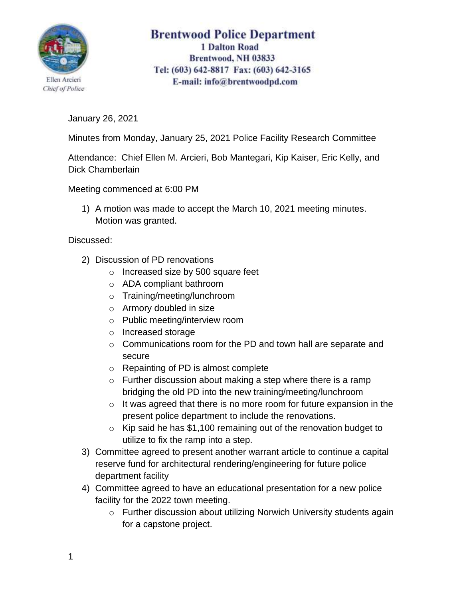

## **Brentwood Police Department 1 Dalton Road** Brentwood, NH 03833 Tel: (603) 642-8817 Fax: (603) 642-3165 E-mail: info@brentwoodpd.com

January 26, 2021

Minutes from Monday, January 25, 2021 Police Facility Research Committee

Attendance: Chief Ellen M. Arcieri, Bob Mantegari, Kip Kaiser, Eric Kelly, and Dick Chamberlain

Meeting commenced at 6:00 PM

1) A motion was made to accept the March 10, 2021 meeting minutes. Motion was granted.

Discussed:

- 2) Discussion of PD renovations
	- o Increased size by 500 square feet
	- o ADA compliant bathroom
	- o Training/meeting/lunchroom
	- o Armory doubled in size
	- o Public meeting/interview room
	- o Increased storage
	- o Communications room for the PD and town hall are separate and secure
	- o Repainting of PD is almost complete
	- $\circ$  Further discussion about making a step where there is a ramp bridging the old PD into the new training/meeting/lunchroom
	- $\circ$  It was agreed that there is no more room for future expansion in the present police department to include the renovations.
	- $\circ$  Kip said he has \$1,100 remaining out of the renovation budget to utilize to fix the ramp into a step.
- 3) Committee agreed to present another warrant article to continue a capital reserve fund for architectural rendering/engineering for future police department facility
- 4) Committee agreed to have an educational presentation for a new police facility for the 2022 town meeting.
	- o Further discussion about utilizing Norwich University students again for a capstone project.